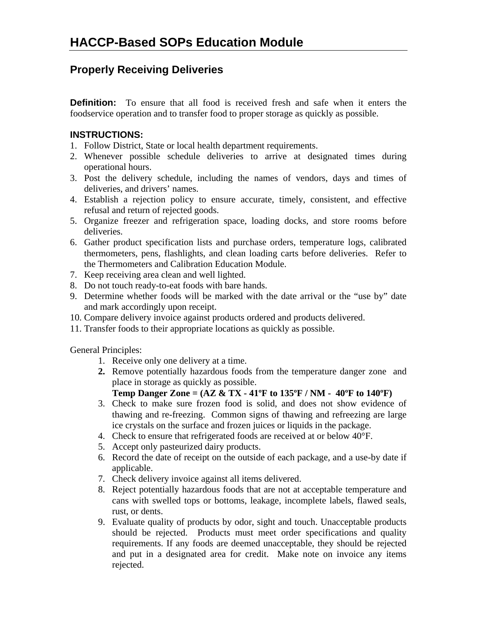## **Properly Receiving Deliveries**

**Definition:** To ensure that all food is received fresh and safe when it enters the foodservice operation and to transfer food to proper storage as quickly as possible.

#### **INSTRUCTIONS:**

- 1. Follow District, State or local health department requirements.
- 2. Whenever possible schedule deliveries to arrive at designated times during operational hours.
- 3. Post the delivery schedule, including the names of vendors, days and times of deliveries, and drivers' names.
- 4. Establish a rejection policy to ensure accurate, timely, consistent, and effective refusal and return of rejected goods.
- 5. Organize freezer and refrigeration space, loading docks, and store rooms before deliveries.
- 6. Gather product specification lists and purchase orders, temperature logs, calibrated thermometers, pens, flashlights, and clean loading carts before deliveries. Refer to the Thermometers and Calibration Education Module.
- 7. Keep receiving area clean and well lighted.
- 8. Do not touch ready-to-eat foods with bare hands.
- 9. Determine whether foods will be marked with the date arrival or the "use by" date and mark accordingly upon receipt.
- 10. Compare delivery invoice against products ordered and products delivered.
- 11. Transfer foods to their appropriate locations as quickly as possible.

General Principles:

- 1. Receive only one delivery at a time.
- **2.** Remove potentially hazardous foods from the temperature danger zone and place in storage as quickly as possible.

#### **Temp Danger Zone = (AZ & TX - 41ºF to 135ºF / NM - 40ºF to 140ºF)**

- 3. Check to make sure frozen food is solid, and does not show evidence of thawing and re-freezing. Common signs of thawing and refreezing are large ice crystals on the surface and frozen juices or liquids in the package.
- 4. Check to ensure that refrigerated foods are received at or below 40°F.
- 5. Accept only pasteurized dairy products.
- 6. Record the date of receipt on the outside of each package, and a use-by date if applicable.
- 7. Check delivery invoice against all items delivered.
- 8. Reject potentially hazardous foods that are not at acceptable temperature and cans with swelled tops or bottoms, leakage, incomplete labels, flawed seals, rust, or dents.
- 9. Evaluate quality of products by odor, sight and touch. Unacceptable products should be rejected. Products must meet order specifications and quality requirements. If any foods are deemed unacceptable, they should be rejected and put in a designated area for credit. Make note on invoice any items rejected.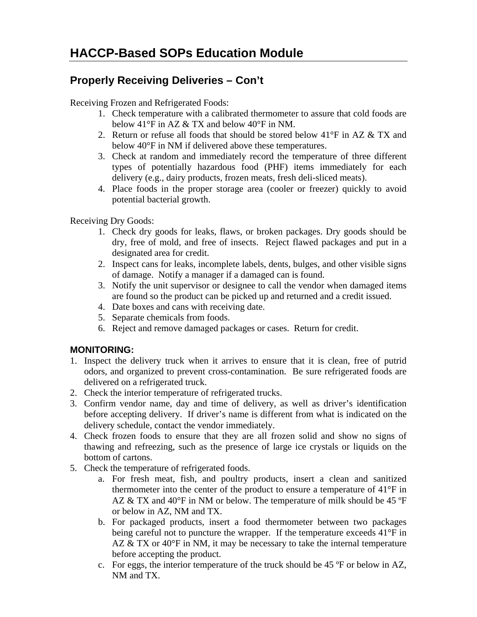# **Properly Receiving Deliveries – Con't**

Receiving Frozen and Refrigerated Foods:

- 1. Check temperature with a calibrated thermometer to assure that cold foods are below 41°F in AZ & TX and below 40°F in NM.
- 2. Return or refuse all foods that should be stored below  $41^{\circ}$ F in AZ & TX and below 40°F in NM if delivered above these temperatures.
- 3. Check at random and immediately record the temperature of three different types of potentially hazardous food (PHF) items immediately for each delivery (e.g., dairy products, frozen meats, fresh deli-sliced meats).
- 4. Place foods in the proper storage area (cooler or freezer) quickly to avoid potential bacterial growth.

Receiving Dry Goods:

- 1. Check dry goods for leaks, flaws, or broken packages. Dry goods should be dry, free of mold, and free of insects. Reject flawed packages and put in a designated area for credit.
- 2. Inspect cans for leaks, incomplete labels, dents, bulges, and other visible signs of damage. Notify a manager if a damaged can is found.
- 3. Notify the unit supervisor or designee to call the vendor when damaged items are found so the product can be picked up and returned and a credit issued.
- 4. Date boxes and cans with receiving date.
- 5. Separate chemicals from foods.
- 6. Reject and remove damaged packages or cases. Return for credit.

### **MONITORING:**

- 1. Inspect the delivery truck when it arrives to ensure that it is clean, free of putrid odors, and organized to prevent cross-contamination. Be sure refrigerated foods are delivered on a refrigerated truck.
- 2. Check the interior temperature of refrigerated trucks.
- 3. Confirm vendor name, day and time of delivery, as well as driver's identification before accepting delivery. If driver's name is different from what is indicated on the delivery schedule, contact the vendor immediately.
- 4. Check frozen foods to ensure that they are all frozen solid and show no signs of thawing and refreezing, such as the presence of large ice crystals or liquids on the bottom of cartons.
- 5. Check the temperature of refrigerated foods.
	- a. For fresh meat, fish, and poultry products, insert a clean and sanitized thermometer into the center of the product to ensure a temperature of 41°F in AZ & TX and 40°F in NM or below. The temperature of milk should be 45 °F or below in AZ, NM and TX.
	- b. For packaged products, insert a food thermometer between two packages being careful not to puncture the wrapper. If the temperature exceeds 41°F in AZ & TX or 40°F in NM, it may be necessary to take the internal temperature before accepting the product.
	- c. For eggs, the interior temperature of the truck should be 45 ºF or below in AZ, NM and TX.